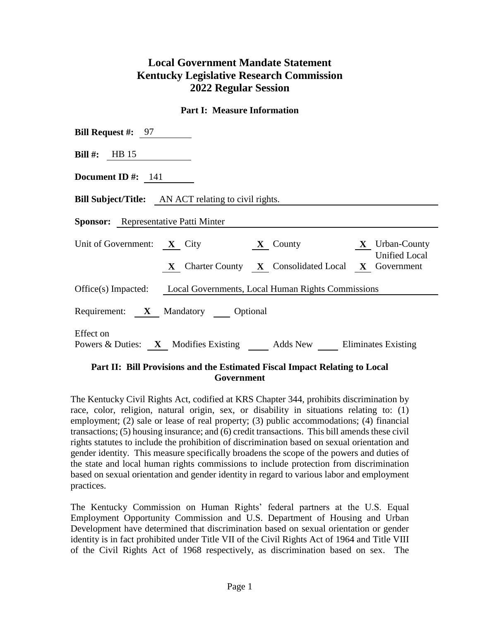# **Local Government Mandate Statement Kentucky Legislative Research Commission 2022 Regular Session**

#### **Part I: Measure Information**

| <b>Bill Request #:</b> $97$                                                         |  |  |  |  |  |  |  |
|-------------------------------------------------------------------------------------|--|--|--|--|--|--|--|
| Bill #: $HB 15$                                                                     |  |  |  |  |  |  |  |
| Document ID $\#$ : 141                                                              |  |  |  |  |  |  |  |
| <b>Bill Subject/Title:</b> AN ACT relating to civil rights.                         |  |  |  |  |  |  |  |
| <b>Sponsor:</b> Representative Patti Minter                                         |  |  |  |  |  |  |  |
| Unit of Government: $X$ City<br>$X$ County $X$ Urban-County<br><b>Unified Local</b> |  |  |  |  |  |  |  |
| X Charter County X Consolidated Local X Government                                  |  |  |  |  |  |  |  |
| Office(s) Impacted: Local Governments, Local Human Rights Commissions               |  |  |  |  |  |  |  |
| Requirement: X Mandatory Optional                                                   |  |  |  |  |  |  |  |
| Effect on<br>Powers & Duties: X Modifies Existing Adds New Eliminates Existing      |  |  |  |  |  |  |  |

## **Part II: Bill Provisions and the Estimated Fiscal Impact Relating to Local Government**

The Kentucky Civil Rights Act, codified at KRS Chapter 344, prohibits discrimination by race, color, religion, natural origin, sex, or disability in situations relating to: (1) employment; (2) sale or lease of real property; (3) public accommodations; (4) financial transactions; (5) housing insurance; and (6) credit transactions. This bill amends these civil rights statutes to include the prohibition of discrimination based on sexual orientation and gender identity. This measure specifically broadens the scope of the powers and duties of the state and local human rights commissions to include protection from discrimination based on sexual orientation and gender identity in regard to various labor and employment practices.

The Kentucky Commission on Human Rights' federal partners at the U.S. Equal Employment Opportunity Commission and U.S. Department of Housing and Urban Development have determined that discrimination based on sexual orientation or gender identity is in fact prohibited under Title VII of the Civil Rights Act of 1964 and Title VIII of the Civil Rights Act of 1968 respectively, as discrimination based on sex. The